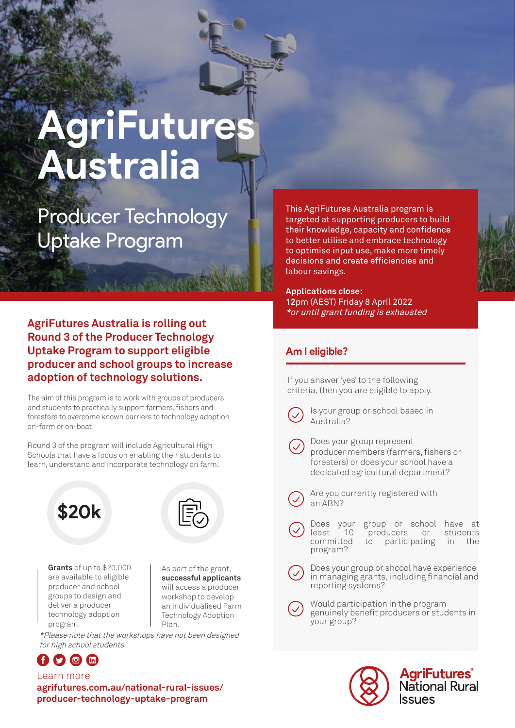# **AgriFutures Australia**

Producer Technology Uptake Program

This AgriFutures Australia program is targeted at supporting producers to build their knowledge, capacity and confidence to better utilise and embrace technology to optimise input use, make more timely decisions and create efficiencies and labour savings.

**Applications close: 12**pm (AEST) Friday 8 April 2022 \*or until grant funding is exhausted

# **AgriFutures Australia is rolling out Round 3 of the Producer Technology Uptake Program to support eligible producer and school groups to increase adoption of technology solutions.**

The aim of this program is to work with groups of producers and students to practically support farmers, fishers and foresters to overcome known barriers to technology adoption on-farm or on-boat.

Round 3 of the program will include Agricultural High Schools that have a focus on enabling their students to learn, understand and incorporate technology on farm.





**Grants** of up to \$20,000 are available to eligible producer and school groups to design and deliver a producer technology adoption program.

As part of the grant, **successful applicants** will access a producer workshop to develop an individualised Farm Technology Adoption Plan.

\*Please note that the workshops have not been designed for high school students



Learn more **agrifutures.com.au/national-rural-issues/ producer-technology-uptake-program**

## **Am I eligible?**

If you answer 'yes' to the following criteria, then you are eligible to apply.



Is your group or school based in Australia?

Does your group represent producer members (farmers, fishers or foresters) or does your school have a dedicated agricultural department?



Are you currently registered with an ABN?

Does your group or school have at<br>least 10 producers or students least 10 producers or<br>committed to participating to participating in the program?

Does your group or shcool have experience in managing grants, including financial and reporting systems?

Would participation in the program genuinely benefit producers or students in your group?



**AgriFutures**<br>National Rural **SSUES**